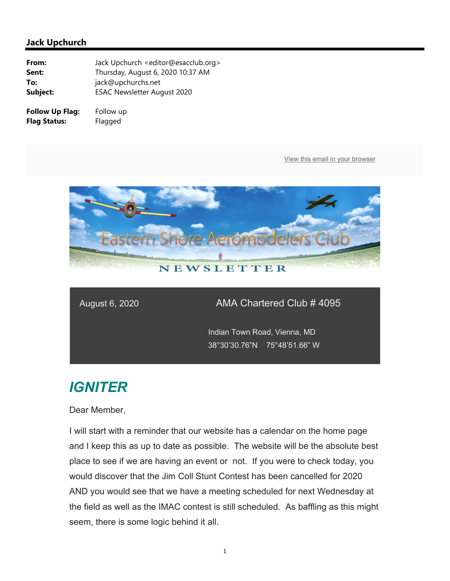

### August 6, 2020 AMA Chartered Club # 4095

 Indian Town Road, Vienna, MD 38°30'30.76"N 75°48'51.66" W

# *IGNITER*

Dear Member,

I will start with a reminder that our website has a calendar on the home page and I keep this as up to date as possible. The website will be the absolute best place to see if we are having an event or not. If you were to check today, you would discover that the Jim Coll Stunt Contest has been cancelled for 2020 AND you would see that we have a meeting scheduled for next Wednesday at the field as well as the IMAC contest is still scheduled. As baffling as this might seem, there is some logic behind it all.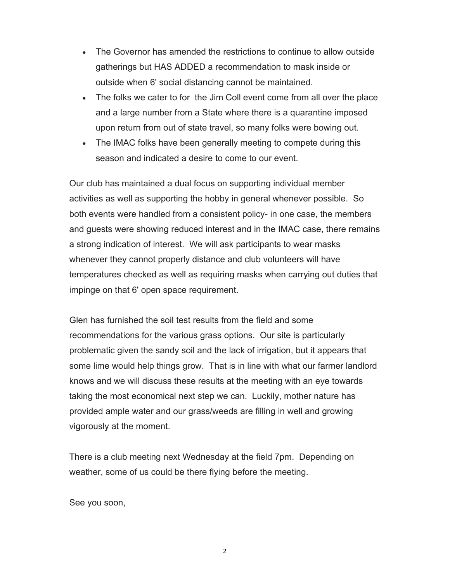- The Governor has amended the restrictions to continue to allow outside gatherings but HAS ADDED a recommendation to mask inside or outside when 6' social distancing cannot be maintained.
- The folks we cater to for the Jim Coll event come from all over the place and a large number from a State where there is a quarantine imposed upon return from out of state travel, so many folks were bowing out.
- The IMAC folks have been generally meeting to compete during this season and indicated a desire to come to our event.

Our club has maintained a dual focus on supporting individual member activities as well as supporting the hobby in general whenever possible. So both events were handled from a consistent policy- in one case, the members and guests were showing reduced interest and in the IMAC case, there remains a strong indication of interest. We will ask participants to wear masks whenever they cannot properly distance and club volunteers will have temperatures checked as well as requiring masks when carrying out duties that impinge on that 6' open space requirement.

Glen has furnished the soil test results from the field and some recommendations for the various grass options. Our site is particularly problematic given the sandy soil and the lack of irrigation, but it appears that some lime would help things grow. That is in line with what our farmer landlord knows and we will discuss these results at the meeting with an eye towards taking the most economical next step we can. Luckily, mother nature has provided ample water and our grass/weeds are filling in well and growing vigorously at the moment.

There is a club meeting next Wednesday at the field 7pm. Depending on weather, some of us could be there flying before the meeting.

See you soon,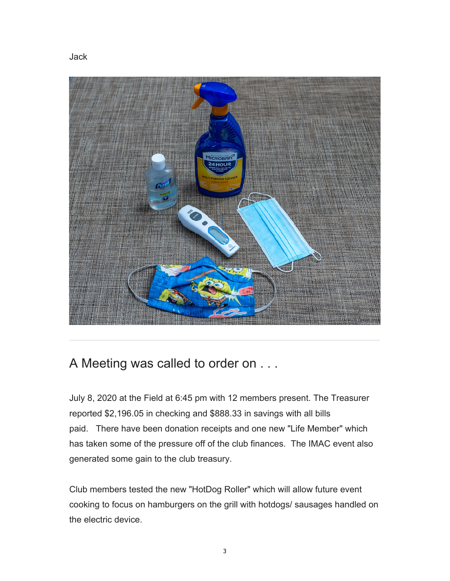Jack



## A Meeting was called to order on . . .

July 8, 2020 at the Field at 6:45 pm with 12 members present. The Treasurer reported \$2,196.05 in checking and \$888.33 in savings with all bills paid. There have been donation receipts and one new "Life Member" which has taken some of the pressure off of the club finances. The IMAC event also generated some gain to the club treasury.

Club members tested the new "HotDog Roller" which will allow future event cooking to focus on hamburgers on the grill with hotdogs/ sausages handled on the electric device.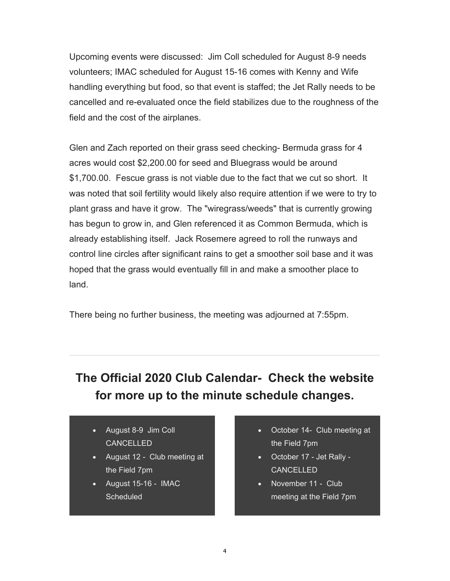Upcoming events were discussed: Jim Coll scheduled for August 8-9 needs volunteers; IMAC scheduled for August 15-16 comes with Kenny and Wife handling everything but food, so that event is staffed; the Jet Rally needs to be cancelled and re-evaluated once the field stabilizes due to the roughness of the field and the cost of the airplanes.

Glen and Zach reported on their grass seed checking- Bermuda grass for 4 acres would cost \$2,200.00 for seed and Bluegrass would be around \$1,700.00. Fescue grass is not viable due to the fact that we cut so short. It was noted that soil fertility would likely also require attention if we were to try to plant grass and have it grow. The "wiregrass/weeds" that is currently growing has begun to grow in, and Glen referenced it as Common Bermuda, which is already establishing itself. Jack Rosemere agreed to roll the runways and control line circles after significant rains to get a smoother soil base and it was hoped that the grass would eventually fill in and make a smoother place to land.

There being no further business, the meeting was adjourned at 7:55pm.

# **The Official 2020 Club Calendar- Check the website for more up to the minute schedule changes.**

- August 8-9 Jim Coll CANCELLED
- August 12 Club meeting at the Field 7pm
- August 15-16 IMAC **Scheduled**
- October 14- Club meeting at the Field 7pm
- October 17 Jet Rally CANCELLED
- November 11 Club meeting at the Field 7pm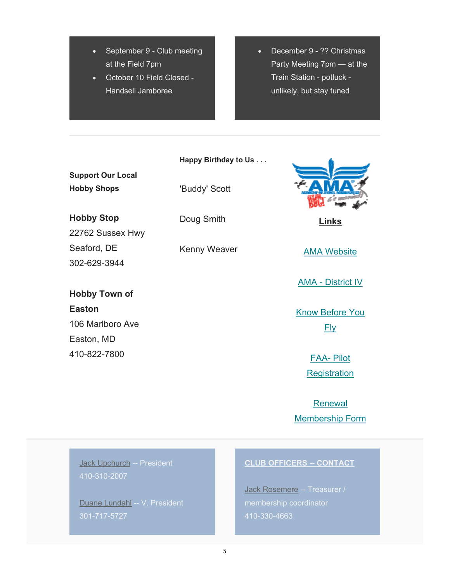- September 9 Club meeting at the Field 7pm
- October 10 Field Closed Handsell Jamboree

 December 9 - ?? Christmas Party Meeting 7pm — at the Train Station - potluck unlikely, but stay tuned

**Happy Birthday to Us . . .**

**Support Our Local Hobby Shops**

'Buddy' Scott

**Hobby Stop**

22762 Sussex Hwy Seaford, DE 302-629-3944

**Hobby Town of Easton** 106 Marlboro Ave Easton, MD 410-822-7800

Doug Smith

Kenny Weaver



**Links** 

AMA Website

AMA - District IV

Know Before You Fly

> FAA- Pilot **Registration**

Renewal Membership Form

Jack Upchurch -- President 410-310-2007

Duane Lundahl -- V. President 301-717-5727

#### **CLUB OFFICERS -- CONTACT**

Jack Rosemere -- Treasurer / 410-330-4663